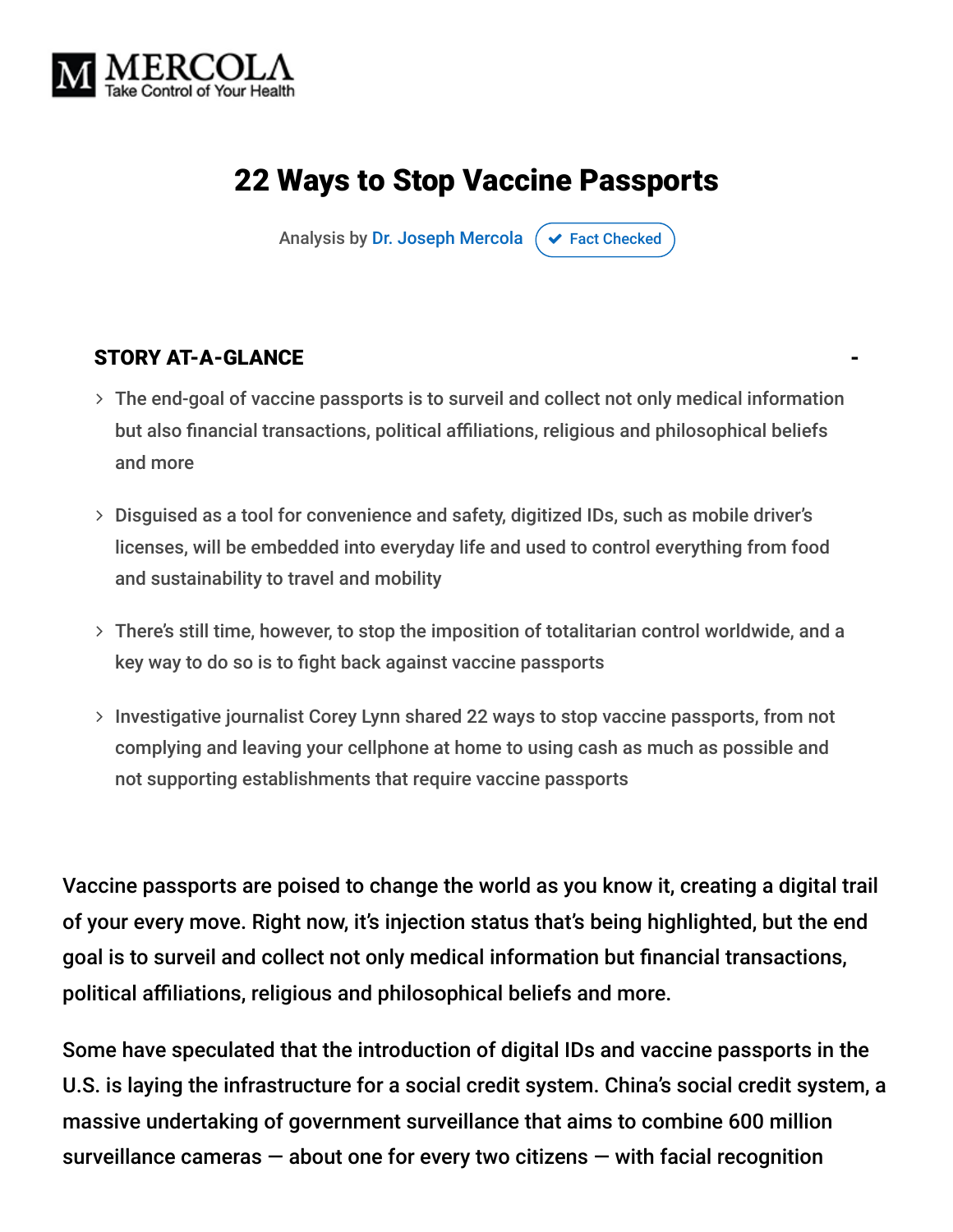

# 22 Ways to Stop Vaccine Passports

Analysis by [Dr. Joseph Mercola](https://www.mercola.com/forms/background.htm)  $\sigma$  [Fact Checked](javascript:void(0))

#### STORY AT-A-GLANCE

- The end-goal of vaccine passports is to surveil and collect not only medical information but also financial transactions, political affiliations, religious and philosophical beliefs and more
- Disguised as a tool for convenience and safety, digitized IDs, such as mobile driver's licenses, will be embedded into everyday life and used to control everything from food and sustainability to travel and mobility
- There's still time, however, to stop the imposition of totalitarian control worldwide, and a key way to do so is to fight back against vaccine passports
- > Investigative journalist Corey Lynn shared 22 ways to stop vaccine passports, from not complying and leaving your cellphone at home to using cash as much as possible and not supporting establishments that require vaccine passports

Vaccine passports are poised to change the world as you know it, creating a digital trail of your every move. Right now, it's injection status that's being highlighted, but the end goal is to surveil and collect not only medical information but financial transactions, political affiliations, religious and philosophical beliefs and more.

Some have speculated that the introduction of digital IDs and vaccine passports in the U.S. is laying the infrastructure for a social credit system. China's social credit system, a massive undertaking of government surveillance that aims to combine 600 million surveillance cameras  $-$  about one for every two citizens  $-$  with facial recognition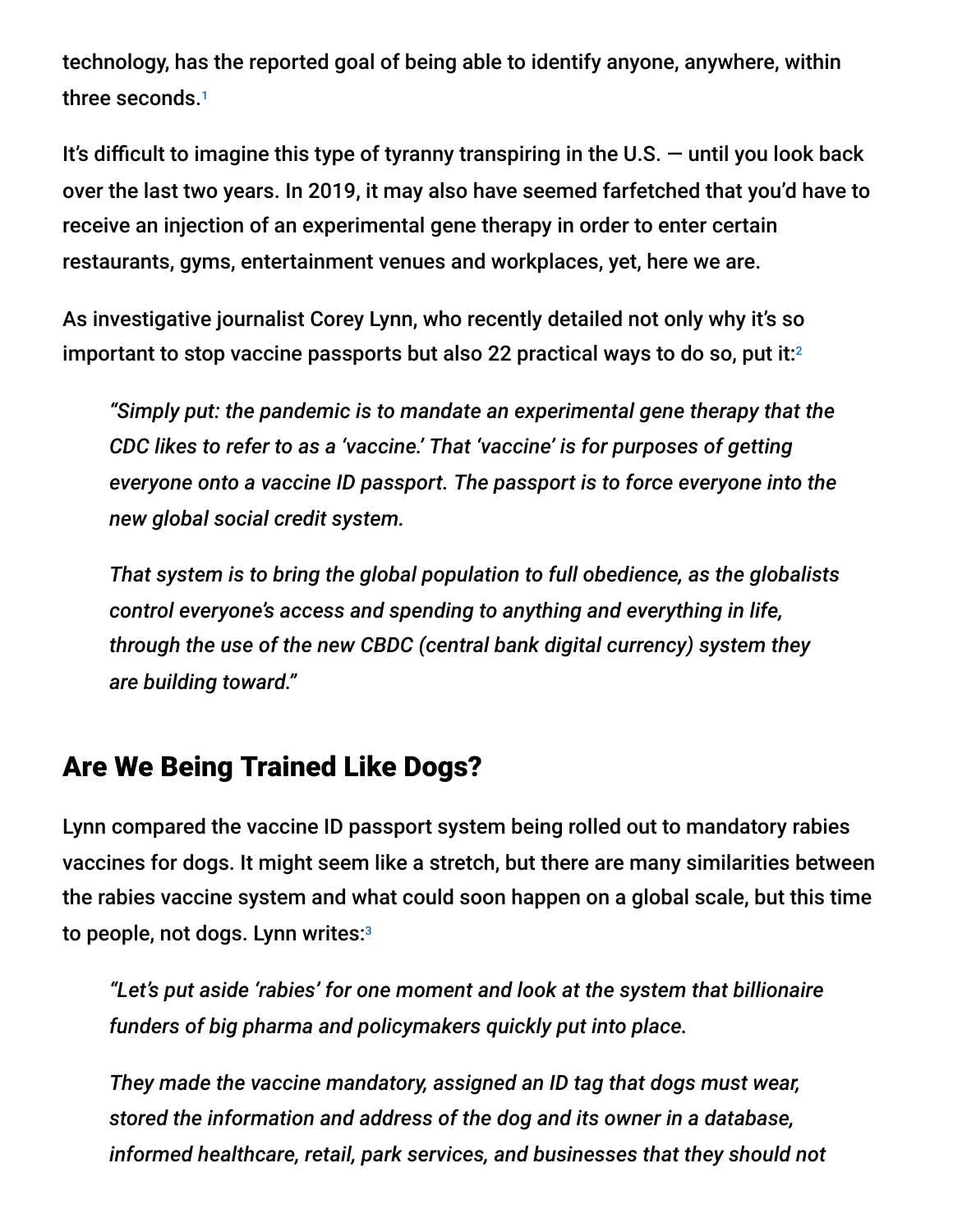technology, has the reported goal of being able to identify anyone, anywhere, within three seconds. 1

It's difficult to imagine this type of tyranny transpiring in the U.S.  $-$  until you look back over the last two years. In 2019, it may also have seemed farfetched that you'd have to receive an injection of an experimental gene therapy in order to enter certain restaurants, gyms, entertainment venues and workplaces, yet, here we are.

As investigative journalist Corey Lynn, who recently detailed not only why it's so important to stop vaccine passports but also 22 practical ways to do so, put it: $^2$ 

*"Simply put: the pandemic is to mandate an experimental gene therapy that the CDC likes to refer to as a 'vaccine.' That 'vaccine' is for purposes of getting everyone onto a vaccine ID passport. The passport is to force everyone into the new global social credit system.*

*That system is to bring the global population to full obedience, as the globalists control everyone's access and spending to anything and everything in life, through the use of the new CBDC (central bank digital currency) system they are building toward."*

### Are We Being Trained Like Dogs?

Lynn compared the vaccine ID passport system being rolled out to mandatory rabies vaccines for dogs. It might seem like a stretch, but there are many similarities between the rabies vaccine system and what could soon happen on a global scale, but this time to people, not dogs. Lynn writes:3

*"Let's put aside 'rabies' for one moment and look at the system that billionaire funders of big pharma and policymakers quickly put into place.*

*They made the vaccine mandatory, assigned an ID tag that dogs must wear, stored the information and address of the dog and its owner in a database, informed healthcare, retail, park services, and businesses that they should not*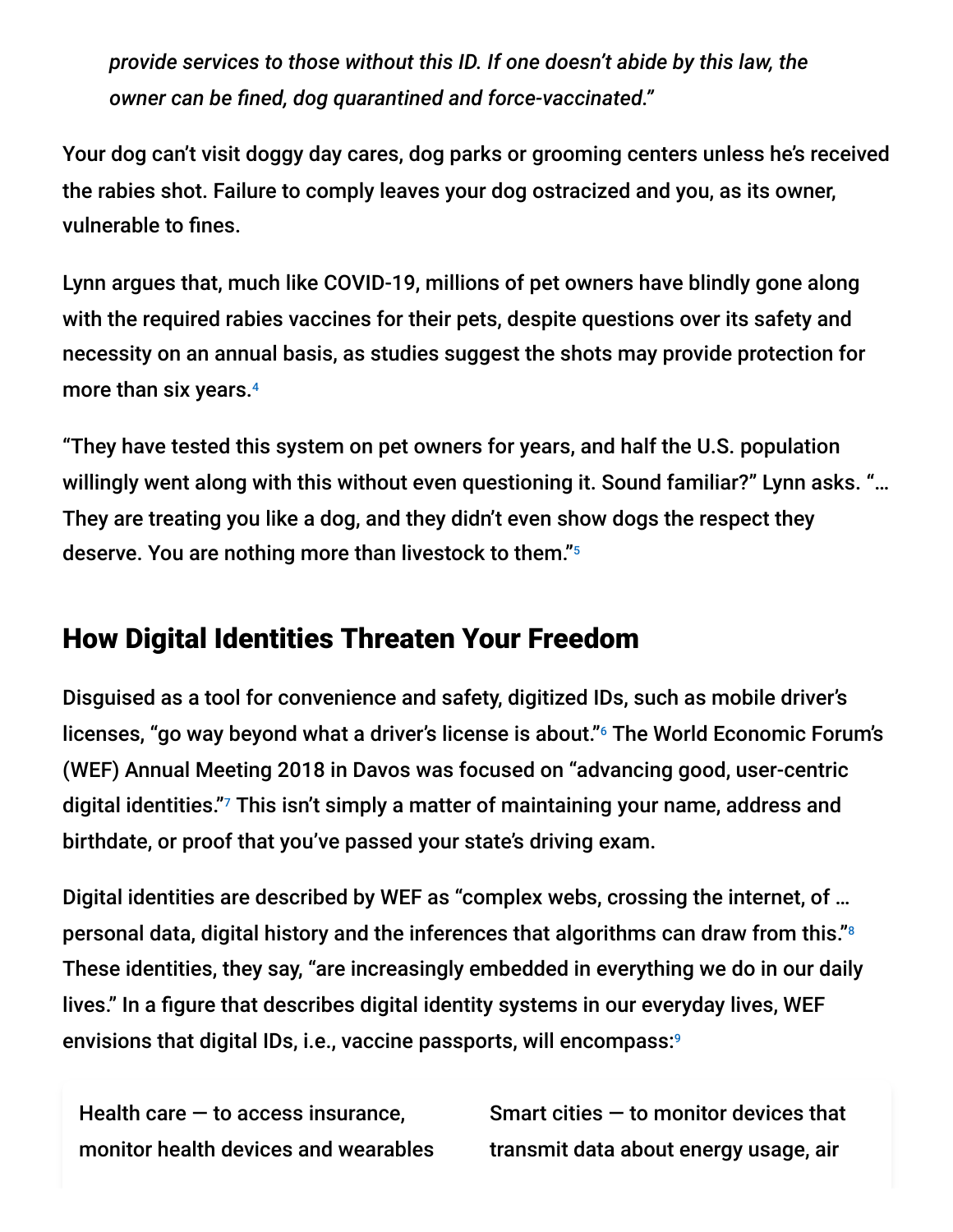*provide services to those without this ID. If one doesn't abide by this law, the owner can be fined, dog quarantined and force-vaccinated."*

Your dog can't visit doggy day cares, dog parks or grooming centers unless he's received the rabies shot. Failure to comply leaves your dog ostracized and you, as its owner, vulnerable to fines.

Lynn argues that, much like COVID-19, millions of pet owners have blindly gone along with the required rabies vaccines for their pets, despite questions over its safety and necessity on an annual basis, as studies suggest the shots may provide protection for more than six years. 4

"They have tested this system on pet owners for years, and half the U.S. population willingly went along with this without even questioning it. Sound familiar?" Lynn asks. "… They are treating you like a dog, and they didn't even show dogs the respect they deserve. You are nothing more than livestock to them." 5

### How Digital Identities Threaten Your Freedom

Disguised as a tool for convenience and safety, digitized IDs, such as mobile driver's licenses, "go way beyond what a driver's license is about."<sup>6</sup> The World Economic Forum's (WEF) Annual Meeting 2018 in Davos was focused on "advancing good, user-centric digital identities."<sup>7</sup> This isn't simply a matter of maintaining your name, address and birthdate, or proof that you've passed your state's driving exam.

Digital identities are described by WEF as "complex webs, crossing the internet, of … personal data, digital history and the inferences that algorithms can draw from this." 8 These identities, they say, "are increasingly embedded in everything we do in our daily lives." In a figure that describes digital identity systems in our everyday lives, WEF envisions that digital IDs, i.e., vaccine passports, will encompass: 9

Health care  $-$  to access insurance, monitor health devices and wearables Smart cities  $-$  to monitor devices that transmit data about energy usage, air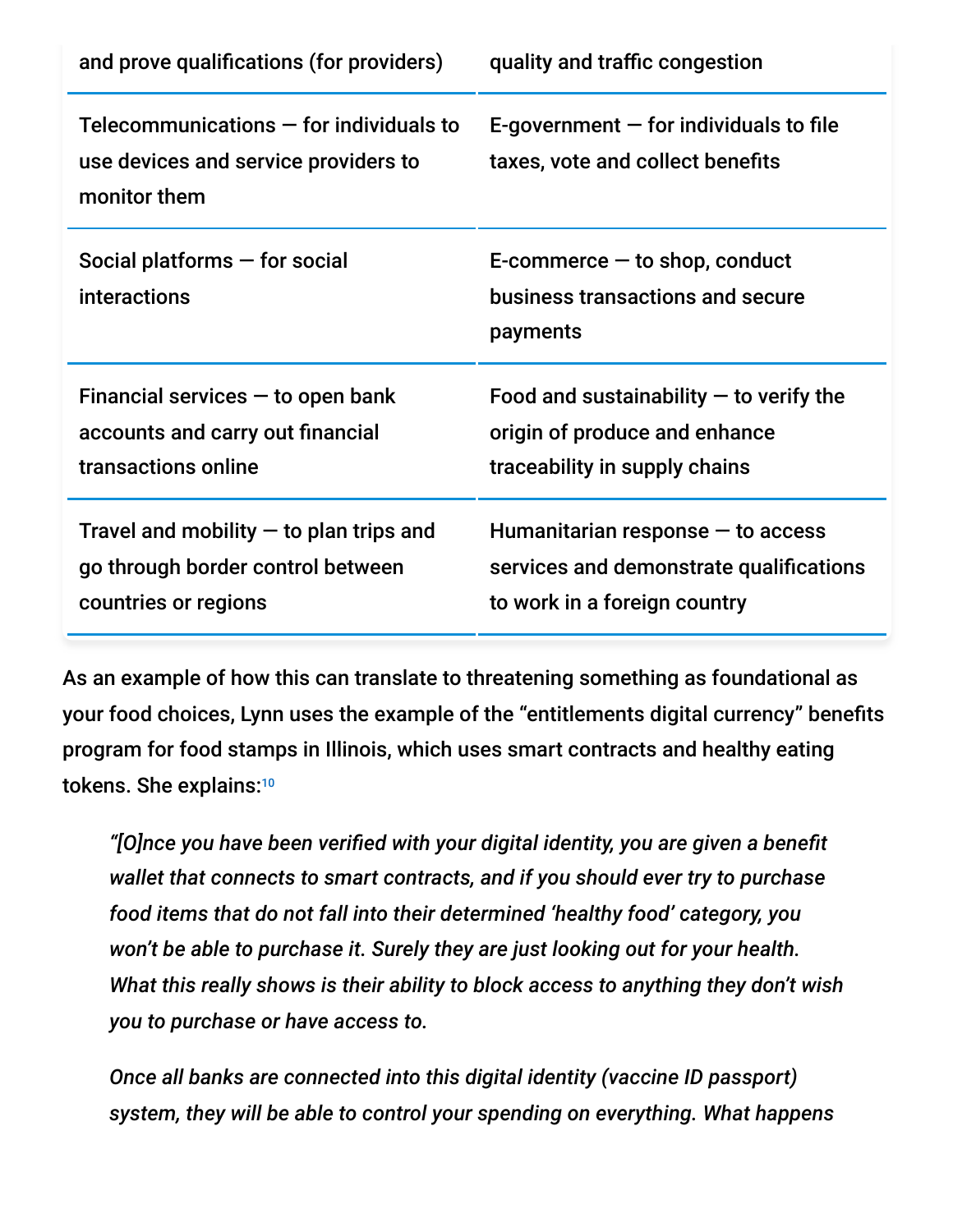| and prove qualifications (for providers)                                                               | quality and traffic congestion                                                                                 |
|--------------------------------------------------------------------------------------------------------|----------------------------------------------------------------------------------------------------------------|
| Telecommunications $-$ for individuals to<br>use devices and service providers to<br>monitor them      | E-government $-$ for individuals to file<br>taxes, vote and collect benefits                                   |
| Social platforms $-$ for social<br>interactions                                                        | $E$ -commerce $-$ to shop, conduct<br>business transactions and secure<br>payments                             |
| Financial services $-$ to open bank<br>accounts and carry out financial<br>transactions online         | Food and sustainability $-$ to verify the<br>origin of produce and enhance<br>traceability in supply chains    |
| Travel and mobility $-$ to plan trips and<br>go through border control between<br>countries or regions | Humanitarian response $-$ to access<br>services and demonstrate qualifications<br>to work in a foreign country |

As an example of how this can translate to threatening something as foundational as your food choices, Lynn uses the example of the "entitlements digital currency" benefits program for food stamps in Illinois, which uses smart contracts and healthy eating tokens. She explains: 10

*"[O]nce you have been verified with your digital identity, you are given a benefit wallet that connects to smart contracts, and if you should ever try to purchase food items that do not fall into their determined 'healthy food' category, you won't be able to purchase it. Surely they are just looking out for your health. What this really shows is their ability to block access to anything they don't wish you to purchase or have access to.*

*Once all banks are connected into this digital identity (vaccine ID passport) system, they will be able to control your spending on everything. What happens*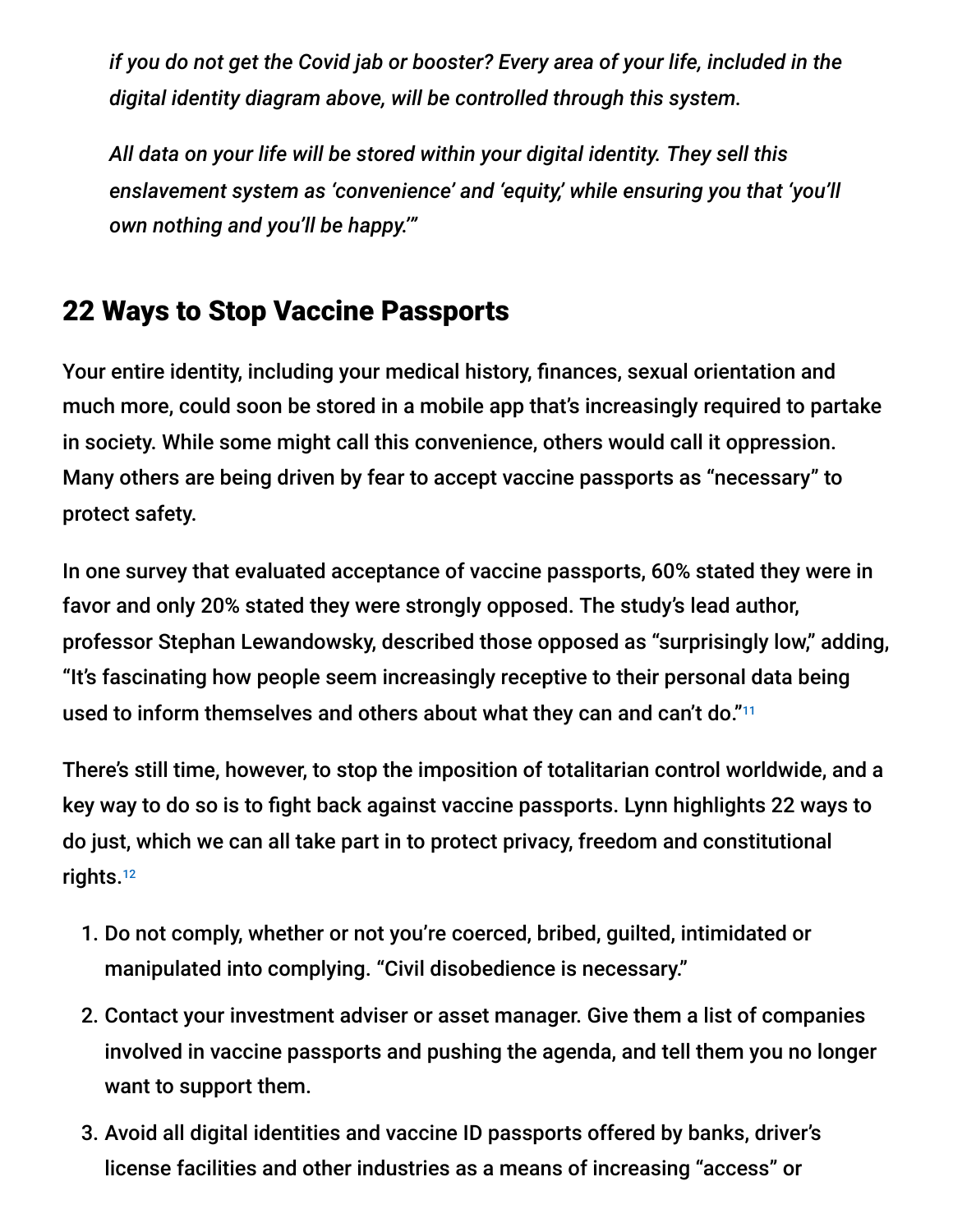*if you do not get the Covid jab or booster? Every area of your life, included in the digital identity diagram above, will be controlled through this system.*

*All data on your life will be stored within your digital identity. They sell this enslavement system as 'convenience' and 'equity,' while ensuring you that 'you'll own nothing and you'll be happy.'"*

## 22 Ways to Stop Vaccine Passports

Your entire identity, including your medical history, finances, sexual orientation and much more, could soon be stored in a mobile app that's increasingly required to partake in society. While some might call this convenience, others would call it oppression. Many others are being driven by fear to accept vaccine passports as "necessary" to protect safety.

In one survey that evaluated acceptance of vaccine passports, 60% stated they were in favor and only 20% stated they were strongly opposed. The study's lead author, professor Stephan Lewandowsky, described those opposed as "surprisingly low," adding, "It's fascinating how people seem increasingly receptive to their personal data being used to inform themselves and others about what they can and can't do." 11

There's still time, however, to stop the imposition of totalitarian control worldwide, and a key way to do so is to fight back against vaccine passports. Lynn highlights 22 ways to do just, which we can all take part in to protect privacy, freedom and constitutional rights. 12

- 1. Do not comply, whether or not you're coerced, bribed, guilted, intimidated or manipulated into complying. "Civil disobedience is necessary."
- 2. Contact your investment adviser or asset manager. Give them a list of companies involved in vaccine passports and pushing the agenda, and tell them you no longer want to support them.
- 3. Avoid all digital identities and vaccine ID passports offered by banks, driver's license facilities and other industries as a means of increasing "access" or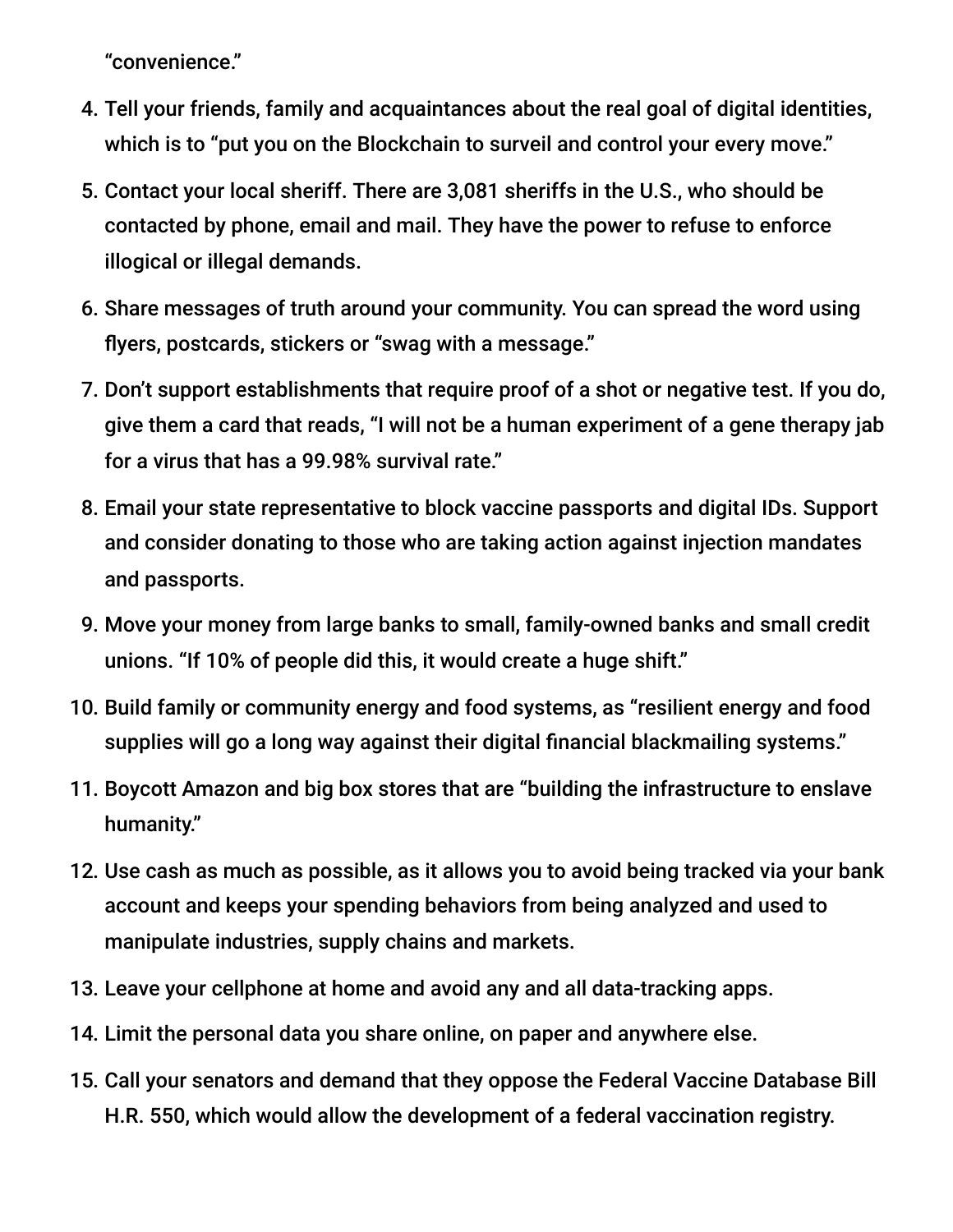"convenience."

- 4. Tell your friends, family and acquaintances about the real goal of digital identities, which is to "put you on the Blockchain to surveil and control your every move."
- 5. Contact your local sheriff. There are 3,081 sheriffs in the U.S., who should be contacted by phone, email and mail. They have the power to refuse to enforce illogical or illegal demands.
- 6. Share messages of truth around your community. You can spread the word using flyers, postcards, stickers or "swag with a message."
- 7. Don't support establishments that require proof of a shot or negative test. If you do, give them a card that reads, "I will not be a human experiment of a gene therapy jab for a virus that has a 99.98% survival rate."
- 8. Email your state representative to block vaccine passports and digital IDs. Support and consider donating to those who are taking action against injection mandates and passports.
- 9. Move your money from large banks to small, family-owned banks and small credit unions. "If 10% of people did this, it would create a huge shift."
- 10. Build family or community energy and food systems, as "resilient energy and food supplies will go a long way against their digital financial blackmailing systems."
- 11. Boycott Amazon and big box stores that are "building the infrastructure to enslave humanity."
- 12. Use cash as much as possible, as it allows you to avoid being tracked via your bank account and keeps your spending behaviors from being analyzed and used to manipulate industries, supply chains and markets.
- 13. Leave your cellphone at home and avoid any and all data-tracking apps.
- 14. Limit the personal data you share online, on paper and anywhere else.
- 15. Call your senators and demand that they oppose the Federal Vaccine Database Bill H.R. 550, which would allow the development of a federal vaccination registry.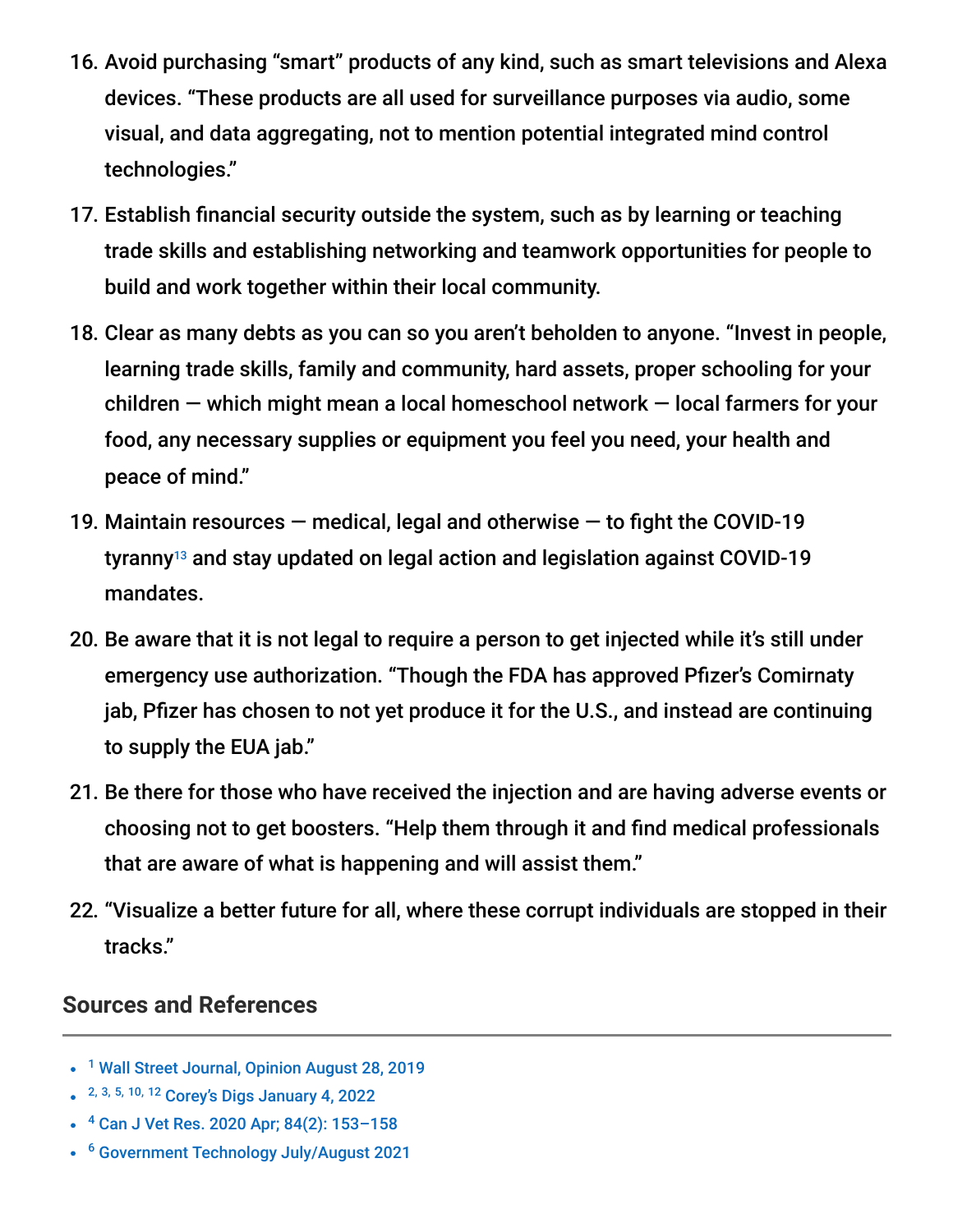- 16. Avoid purchasing "smart" products of any kind, such as smart televisions and Alexa devices. "These products are all used for surveillance purposes via audio, some visual, and data aggregating, not to mention potential integrated mind control technologies."
- 17. Establish financial security outside the system, such as by learning or teaching trade skills and establishing networking and teamwork opportunities for people to build and work together within their local community.
- 18. Clear as many debts as you can so you aren't beholden to anyone. "Invest in people, learning trade skills, family and community, hard assets, proper schooling for your children — which might mean a local homeschool network — local farmers for your food, any necessary supplies or equipment you feel you need, your health and peace of mind."
- 19. Maintain resources  $-$  medical, legal and otherwise  $-$  to fight the COVID-19 tyranny $^{13}$  and stay updated on legal action and legislation against COVID-19 mandates.
- 20. Be aware that it is not legal to require a person to get injected while it's still under emergency use authorization. "Though the FDA has approved Pfizer's Comirnaty jab, Pfizer has chosen to not yet produce it for the U.S., and instead are continuing to supply the EUA jab."
- 21. Be there for those who have received the injection and are having adverse events or choosing not to get boosters. "Help them through it and find medical professionals that are aware of what is happening and will assist them."
- 22. "Visualize a better future for all, where these corrupt individuals are stopped in their tracks."

#### **Sources and References**

- <sup>1</sup> [Wall Street Journal, Opinion August 28, 2019](https://www.wsj.com/articles/social-credit-may-come-to-america-11567033176)
- <sup>2, 3, 5, 10, 12</sup> [Corey's Digs January 4, 2022](https://www.coreysdigs.com/health-science/22-ways-to-stop-vaccine-id-passports-in-2022-and-why-we-must/)
- <sup>4</sup> Can J Vet Res. 2020 Apr; 84(2): 153-158
- <sup>6</sup> [Government Technology July/August 2021](https://www.govtech.com/products/mobile-drivers-licenses-pave-the-way-for-unified-digital-ids)